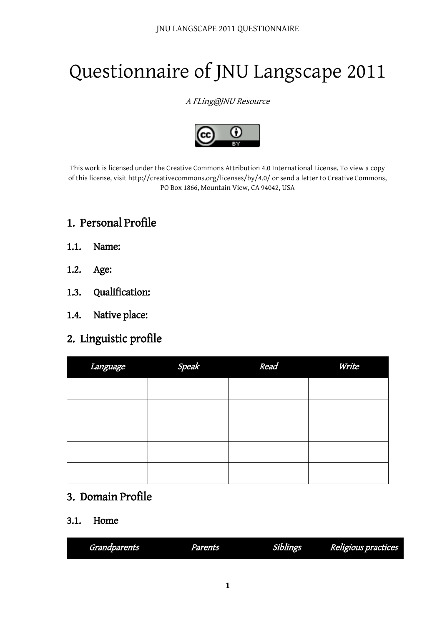# Questionnaire of JNU Langscape 2011

#### A FLing@JNU Resource



This work is licensed under the Creative Commons Attribution 4.0 International License. To view a copy of this license, visit http://creativecommons.org/licenses/by/4.0/ or send a letter to Creative Commons, PO Box 1866, Mountain View, CA 94042, USA

## 1. Personal Profile

- 1.1. Name:
- 1.2. Age:
- 1.3. Qualification:
- 1.4. Native place:

## 2. Linguistic profile

| Language | Speak | Read | Write |
|----------|-------|------|-------|
|          |       |      |       |
|          |       |      |       |
|          |       |      |       |
|          |       |      |       |
|          |       |      |       |

#### 3. Domain Profile

#### 3.1. Home

| m<br>Grandparents | <b>Parents</b> | Siblings | Religious practices<br>ro. |
|-------------------|----------------|----------|----------------------------|
|                   |                |          |                            |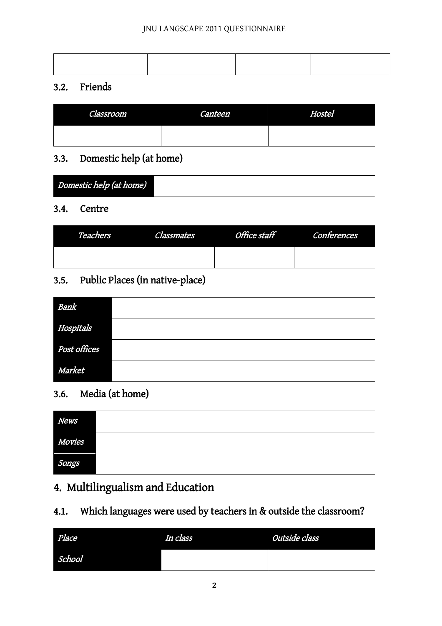#### JNU LANGSCAPE 2011 QUESTIONNAIRE

#### 3.2. Friends

| Classroom | Canteen | Hostel |
|-----------|---------|--------|
|           |         |        |

## 3.3. Domestic help (at home)

| Domestic help (at home) |  |
|-------------------------|--|

#### 3.4. Centre

| Teachers | <i><b>Classmates</b></i> | Office staff Conferences |
|----------|--------------------------|--------------------------|
|          |                          |                          |

## 3.5. Public Places (in native-place)

| Bank         |  |
|--------------|--|
| Hospitals    |  |
| Post offices |  |
| Market       |  |

## 3.6. Media (at home)

| <b>News</b> |  |
|-------------|--|
| Movies      |  |
| Songs       |  |

# 4. Multilingualism and Education

## 4.1. Which languages were used by teachers in & outside the classroom?

| Place  | In class | Outside class |
|--------|----------|---------------|
| School |          |               |